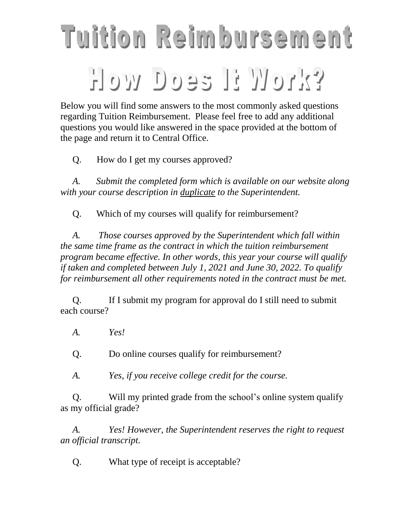## Tuition Reimbursement How Does H Work?

Below you will find some answers to the most commonly asked questions regarding Tuition Reimbursement. Please feel free to add any additional questions you would like answered in the space provided at the bottom of the page and return it to Central Office.

Q. How do I get my courses approved?

*A. Submit the completed form which is available on our website along with your course description in duplicate to the Superintendent.*

Q. Which of my courses will qualify for reimbursement?

*A. Those courses approved by the Superintendent which fall within the same time frame as the contract in which the tuition reimbursement program became effective. In other words, this year your course will qualify if taken and completed between July 1, 2021 and June 30, 2022. To qualify for reimbursement all other requirements noted in the contract must be met.* 

Q. If I submit my program for approval do I still need to submit each course?

*A. Yes!*

Q. Do online courses qualify for reimbursement?

*A. Yes, if you receive college credit for the course.*

Q. Will my printed grade from the school's online system qualify as my official grade?

*A. Yes! However, the Superintendent reserves the right to request an official transcript.*

Q. What type of receipt is acceptable?